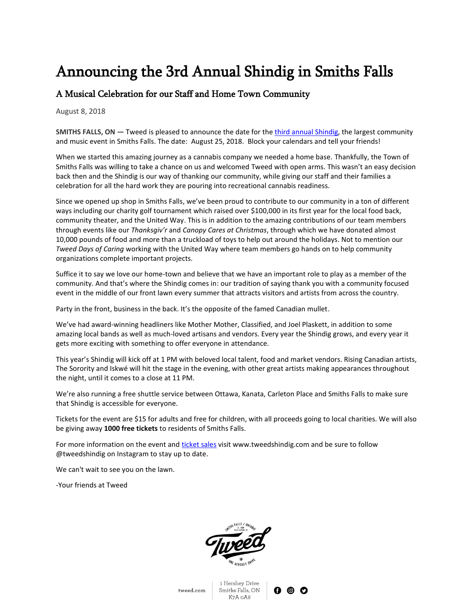# Announcing the 3rd Annual Shindig in Smiths Falls

## A Musical Celebration for our Staff and Home Town Community

August 8, 2018

**SMITHS FALLS, ON — Tweed is pleased to announce the date for the** *third annual Shindig***, the largest community** and music event in Smiths Falls. The date: August 25, 2018. Block your calendars and tell your friends!

When we started this amazing journey as a cannabis company we needed a home base. Thankfully, the Town of Smiths Falls was willing to take a chance on us and welcomed Tweed with open arms. This wasn't an easy decision back then and the Shindig is our way of thanking our community, while giving our staff and their families a celebration for all the hard work they are pouring into recreational cannabis readiness.

Since we opened up shop in Smiths Falls, we've been proud to contribute to our community in a ton of different ways including our charity golf tournament which raised over \$100,000 in its first year for the local food back, community theater, and the United Way. This is in addition to the amazing contributions of our team members through events like our *Thanksgiv'r* and *Canopy Cares at Christmas*, through which we have donated almost 10,000 pounds of food and more than a truckload of toys to help out around the holidays. Not to mention our *Tweed Days of Caring* working with the United Way where team members go hands on to help community organizations complete important projects.

Suffice it to say we love our home-town and believe that we have an important role to play as a member of the community. And that's where the Shindig comes in: our tradition of saying thank you with a community focused event in the middle of our front lawn every summer that attracts visitors and artists from across the country.

Party in the front, business in the back. It's the opposite of the famed Canadian mullet.

We've had award-winning headliners like Mother Mother, Classified, and Joel Plaskett, in addition to some amazing local bands as well as much-loved artisans and vendors. Every year the Shindig grows, and every year it gets more exciting with something to offer everyone in attendance.

This year's Shindig will kick off at 1 PM with beloved local talent, food and market vendors. Rising Canadian artists, The Sorority and Iskwé will hit the stage in the evening, with other great artists making appearances throughout the night, until it comes to a close at 11 PM.

We're also running a free shuttle service between Ottawa, Kanata, Carleton Place and Smiths Falls to make sure that Shindig is accessible for everyone.

Tickets for the event are \$15 for adults and free for children, with all proceeds going to local charities. We will also be giving away **1000 free tickets** to residents of Smiths Falls.

For more information on the event an[d ticket sales](https://www.eventbrite.ca/e/3rd-annual-tweed-shindig-tickets-47746059750) visit www.tweedshindig.com and be sure to follow @tweedshindig on Instagram to stay up to date.

We can't wait to see you on the lawn.

-Your friends at Tweed

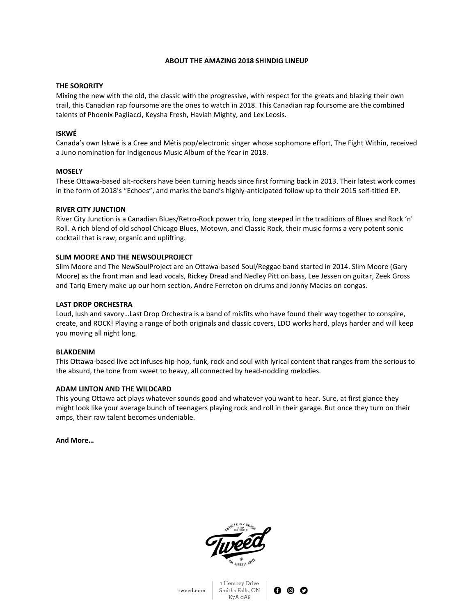#### **ABOUT THE AMAZING 2018 SHINDIG LINEUP**

#### **THE SORORITY**

Mixing the new with the old, the classic with the progressive, with respect for the greats and blazing their own trail, this Canadian rap foursome are the ones to watch in 2018. This Canadian rap foursome are the combined talents of Phoenix Pagliacci, Keysha Fresh, Haviah Mighty, and Lex Leosis.

#### **ISKWÉ**

Canada's own Iskwé is a Cree and Métis pop/electronic singer whose sophomore effort, The Fight Within, received a Juno nomination for Indigenous Music Album of the Year in 2018.

#### **MOSELY**

These Ottawa-based alt-rockers have been turning heads since first forming back in 2013. Their latest work comes in the form of 2018's "Echoes", and marks the band's highly-anticipated follow up to their 2015 self-titled EP.

#### **RIVER CITY JUNCTION**

River City Junction is a Canadian Blues/Retro-Rock power trio, long steeped in the traditions of Blues and Rock 'n' Roll. A rich blend of old school Chicago Blues, Motown, and Classic Rock, their music forms a very potent sonic cocktail that is raw, organic and uplifting.

### **SLIM MOORE AND THE NEWSOULPROJECT**

Slim Moore and The NewSoulProject are an Ottawa-based Soul/Reggae band started in 2014. Slim Moore (Gary Moore) as the front man and lead vocals, Rickey Dread and Nedley Pitt on bass, Lee Jessen on guitar, Zeek Gross and Tariq Emery make up our horn section, Andre Ferreton on drums and Jonny Macias on congas.

#### **LAST DROP ORCHESTRA**

Loud, lush and savory…Last Drop Orchestra is a band of misfits who have found their way together to conspire, create, and ROCK! Playing a range of both originals and classic covers, LDO works hard, plays harder and will keep you moving all night long.

#### **BLAKDENIM**

This Ottawa-based live act infuses hip-hop, funk, rock and soul with lyrical content that ranges from the serious to the absurd, the tone from sweet to heavy, all connected by head-nodding melodies.

#### **ADAM LINTON AND THE WILDCARD**

This young Ottawa act plays whatever sounds good and whatever you want to hear. Sure, at first glance they might look like your average bunch of teenagers playing rock and roll in their garage. But once they turn on their amps, their raw talent becomes undeniable.

**And More…**